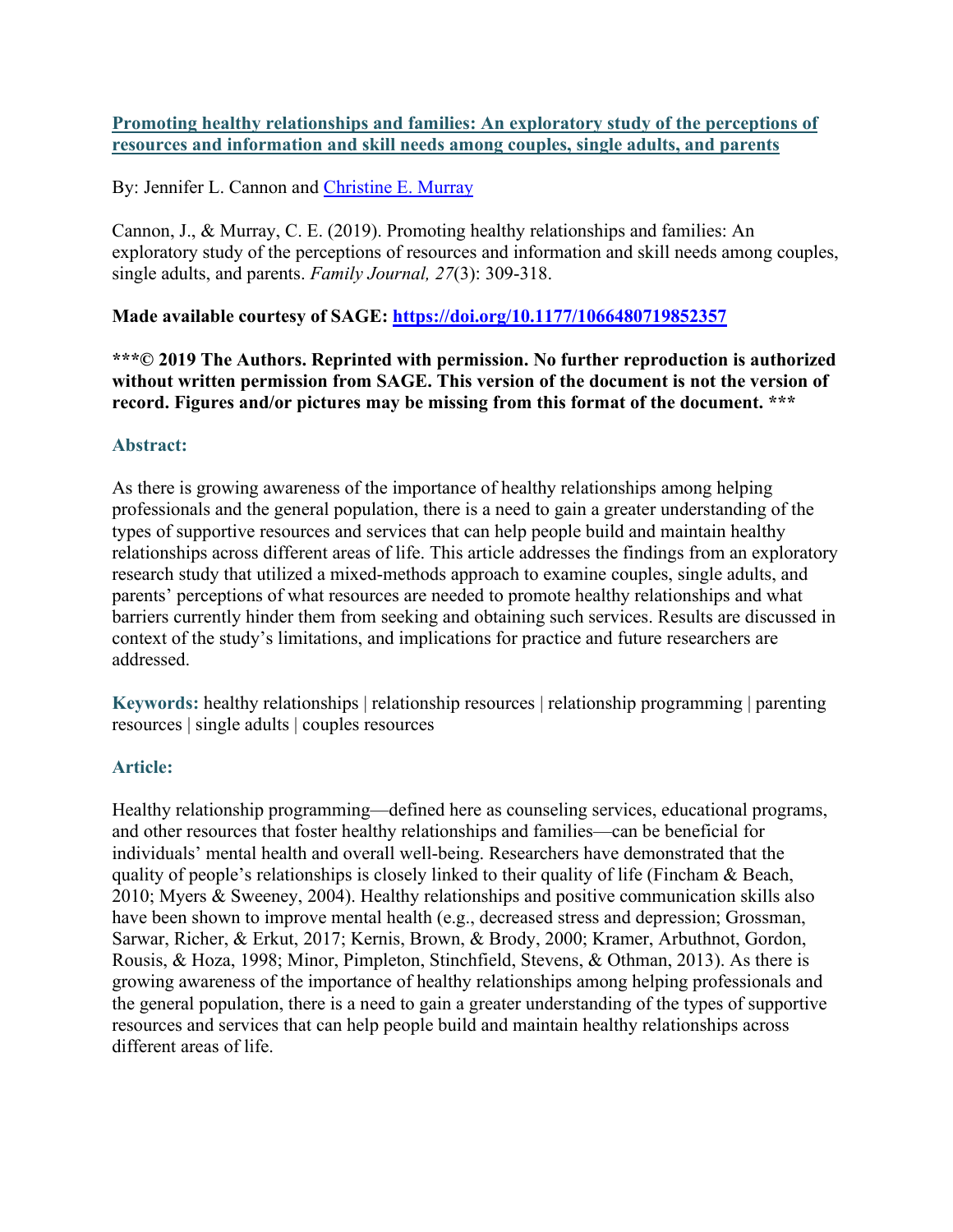**Promoting healthy relationships and families: An exploratory study of the perceptions of resources and information and skill needs among couples, single adults, and parents**

By: Jennifer L. Cannon and [Christine E. Murray](http://libres.uncg.edu/ir/uncg/clist.aspx?id=894)

Cannon, J., & Murray, C. E. (2019). Promoting healthy relationships and families: An exploratory study of the perceptions of resources and information and skill needs among couples, single adults, and parents. *Family Journal, 27*(3): 309-318.

**Made available courtesy of SAGE: [https://doi.org/10.1177/1066480719852357](https://doi.org/10.1177%2F1066480719852357)**

**\*\*\*© 2019 The Authors. Reprinted with permission. No further reproduction is authorized without written permission from SAGE. This version of the document is not the version of record. Figures and/or pictures may be missing from this format of the document. \*\*\***

#### **Abstract:**

As there is growing awareness of the importance of healthy relationships among helping professionals and the general population, there is a need to gain a greater understanding of the types of supportive resources and services that can help people build and maintain healthy relationships across different areas of life. This article addresses the findings from an exploratory research study that utilized a mixed-methods approach to examine couples, single adults, and parents' perceptions of what resources are needed to promote healthy relationships and what barriers currently hinder them from seeking and obtaining such services. Results are discussed in context of the study's limitations, and implications for practice and future researchers are addressed.

**Keywords:** healthy relationships | relationship resources | relationship programming | parenting resources | single adults | couples resources

## **Article:**

Healthy relationship programming—defined here as counseling services, educational programs, and other resources that foster healthy relationships and families—can be beneficial for individuals' mental health and overall well-being. Researchers have demonstrated that the quality of people's relationships is closely linked to their quality of life (Fincham & Beach, 2010; Myers & Sweeney, 2004). Healthy relationships and positive communication skills also have been shown to improve mental health (e.g., decreased stress and depression; Grossman, Sarwar, Richer, & Erkut, 2017; Kernis, Brown, & Brody, 2000; Kramer, Arbuthnot, Gordon, Rousis, & Hoza, 1998; Minor, Pimpleton, Stinchfield, Stevens, & Othman, 2013). As there is growing awareness of the importance of healthy relationships among helping professionals and the general population, there is a need to gain a greater understanding of the types of supportive resources and services that can help people build and maintain healthy relationships across different areas of life.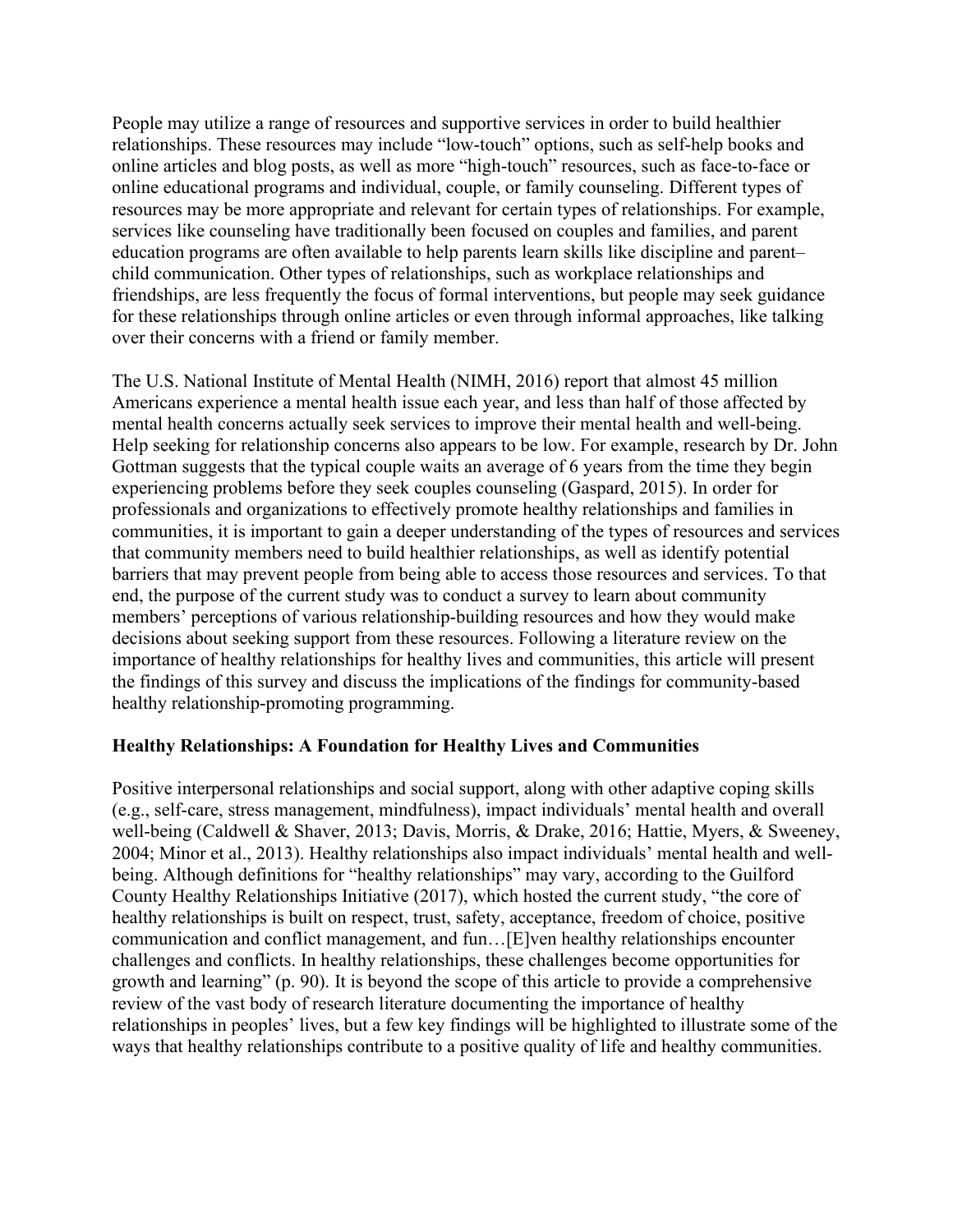People may utilize a range of resources and supportive services in order to build healthier relationships. These resources may include "low-touch" options, such as self-help books and online articles and blog posts, as well as more "high-touch" resources, such as face-to-face or online educational programs and individual, couple, or family counseling. Different types of resources may be more appropriate and relevant for certain types of relationships. For example, services like counseling have traditionally been focused on couples and families, and parent education programs are often available to help parents learn skills like discipline and parent– child communication. Other types of relationships, such as workplace relationships and friendships, are less frequently the focus of formal interventions, but people may seek guidance for these relationships through online articles or even through informal approaches, like talking over their concerns with a friend or family member.

The U.S. National Institute of Mental Health (NIMH, 2016) report that almost 45 million Americans experience a mental health issue each year, and less than half of those affected by mental health concerns actually seek services to improve their mental health and well-being. Help seeking for relationship concerns also appears to be low. For example, research by Dr. John Gottman suggests that the typical couple waits an average of 6 years from the time they begin experiencing problems before they seek couples counseling (Gaspard, 2015). In order for professionals and organizations to effectively promote healthy relationships and families in communities, it is important to gain a deeper understanding of the types of resources and services that community members need to build healthier relationships, as well as identify potential barriers that may prevent people from being able to access those resources and services. To that end, the purpose of the current study was to conduct a survey to learn about community members' perceptions of various relationship-building resources and how they would make decisions about seeking support from these resources. Following a literature review on the importance of healthy relationships for healthy lives and communities, this article will present the findings of this survey and discuss the implications of the findings for community-based healthy relationship-promoting programming.

## **Healthy Relationships: A Foundation for Healthy Lives and Communities**

Positive interpersonal relationships and social support, along with other adaptive coping skills (e.g., self-care, stress management, mindfulness), impact individuals' mental health and overall well-being (Caldwell & Shaver, 2013; Davis, Morris, & Drake, 2016; Hattie, Myers, & Sweeney, 2004; Minor et al., 2013). Healthy relationships also impact individuals' mental health and wellbeing. Although definitions for "healthy relationships" may vary, according to the Guilford County Healthy Relationships Initiative (2017), which hosted the current study, "the core of healthy relationships is built on respect, trust, safety, acceptance, freedom of choice, positive communication and conflict management, and fun…[E]ven healthy relationships encounter challenges and conflicts. In healthy relationships, these challenges become opportunities for growth and learning" (p. 90). It is beyond the scope of this article to provide a comprehensive review of the vast body of research literature documenting the importance of healthy relationships in peoples' lives, but a few key findings will be highlighted to illustrate some of the ways that healthy relationships contribute to a positive quality of life and healthy communities.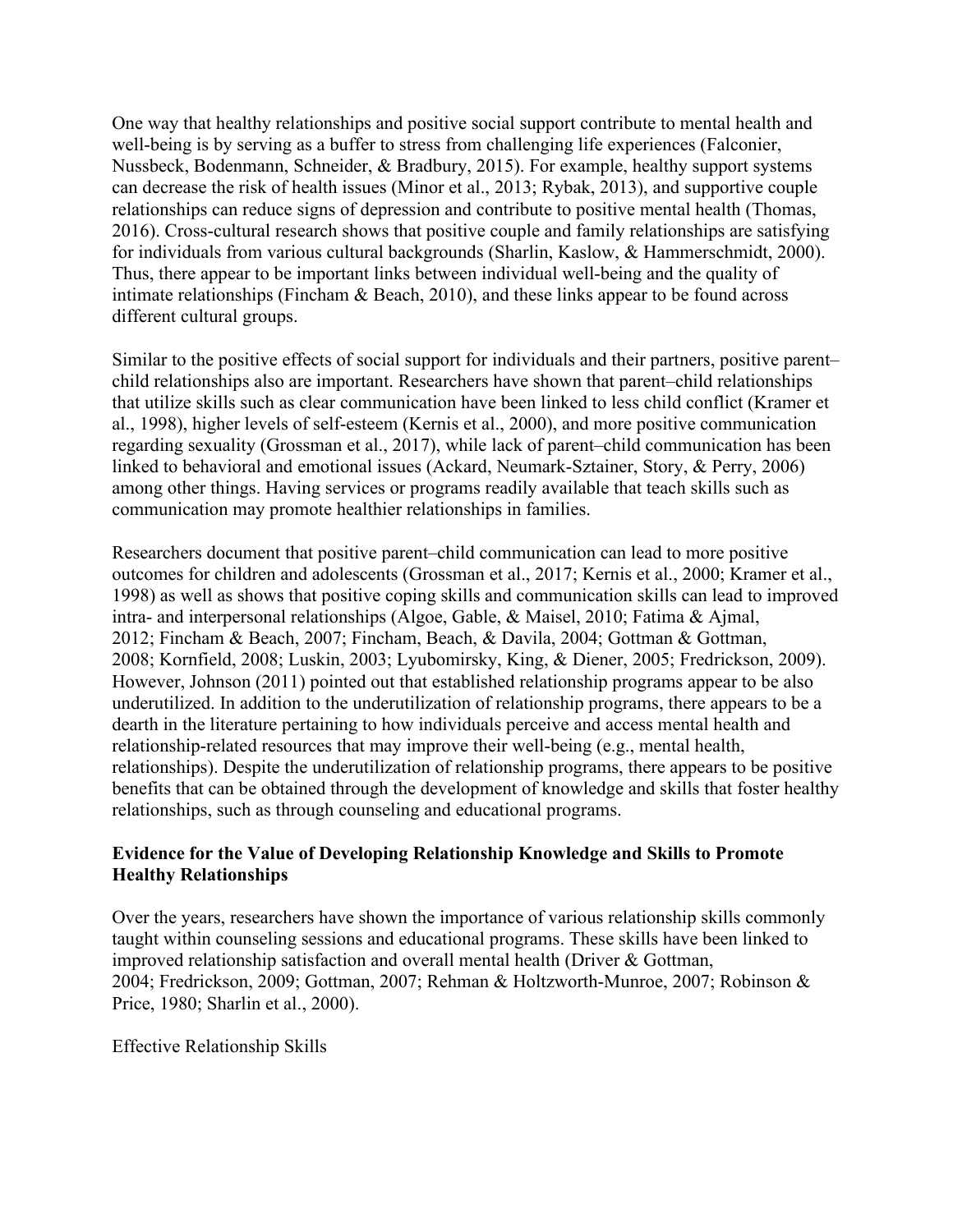One way that healthy relationships and positive social support contribute to mental health and well-being is by serving as a buffer to stress from challenging life experiences (Falconier, Nussbeck, Bodenmann, Schneider, & Bradbury, 2015). For example, healthy support systems can decrease the risk of health issues (Minor et al., 2013; Rybak, 2013), and supportive couple relationships can reduce signs of depression and contribute to positive mental health (Thomas, 2016). Cross-cultural research shows that positive couple and family relationships are satisfying for individuals from various cultural backgrounds (Sharlin, Kaslow, & Hammerschmidt, 2000). Thus, there appear to be important links between individual well-being and the quality of intimate relationships (Fincham & Beach, 2010), and these links appear to be found across different cultural groups.

Similar to the positive effects of social support for individuals and their partners, positive parent– child relationships also are important. Researchers have shown that parent–child relationships that utilize skills such as clear communication have been linked to less child conflict (Kramer et al., 1998), higher levels of self-esteem (Kernis et al., 2000), and more positive communication regarding sexuality (Grossman et al., 2017), while lack of parent–child communication has been linked to behavioral and emotional issues (Ackard, Neumark-Sztainer, Story, & Perry, 2006) among other things. Having services or programs readily available that teach skills such as communication may promote healthier relationships in families.

Researchers document that positive parent–child communication can lead to more positive outcomes for children and adolescents (Grossman et al., 2017; Kernis et al., 2000; Kramer et al., 1998) as well as shows that positive coping skills and communication skills can lead to improved intra- and interpersonal relationships (Algoe, Gable, & Maisel, 2010; Fatima & Ajmal, 2012; Fincham & Beach, 2007; Fincham, Beach, & Davila, 2004; Gottman & Gottman, 2008; Kornfield, 2008; Luskin, 2003; Lyubomirsky, King, & Diener, 2005; Fredrickson, 2009). However, Johnson (2011) pointed out that established relationship programs appear to be also underutilized. In addition to the underutilization of relationship programs, there appears to be a dearth in the literature pertaining to how individuals perceive and access mental health and relationship-related resources that may improve their well-being (e.g., mental health, relationships). Despite the underutilization of relationship programs, there appears to be positive benefits that can be obtained through the development of knowledge and skills that foster healthy relationships, such as through counseling and educational programs.

## **Evidence for the Value of Developing Relationship Knowledge and Skills to Promote Healthy Relationships**

Over the years, researchers have shown the importance of various relationship skills commonly taught within counseling sessions and educational programs. These skills have been linked to improved relationship satisfaction and overall mental health (Driver & Gottman, 2004; Fredrickson, 2009; Gottman, 2007; Rehman & Holtzworth-Munroe, 2007; Robinson & Price, 1980; Sharlin et al., 2000).

Effective Relationship Skills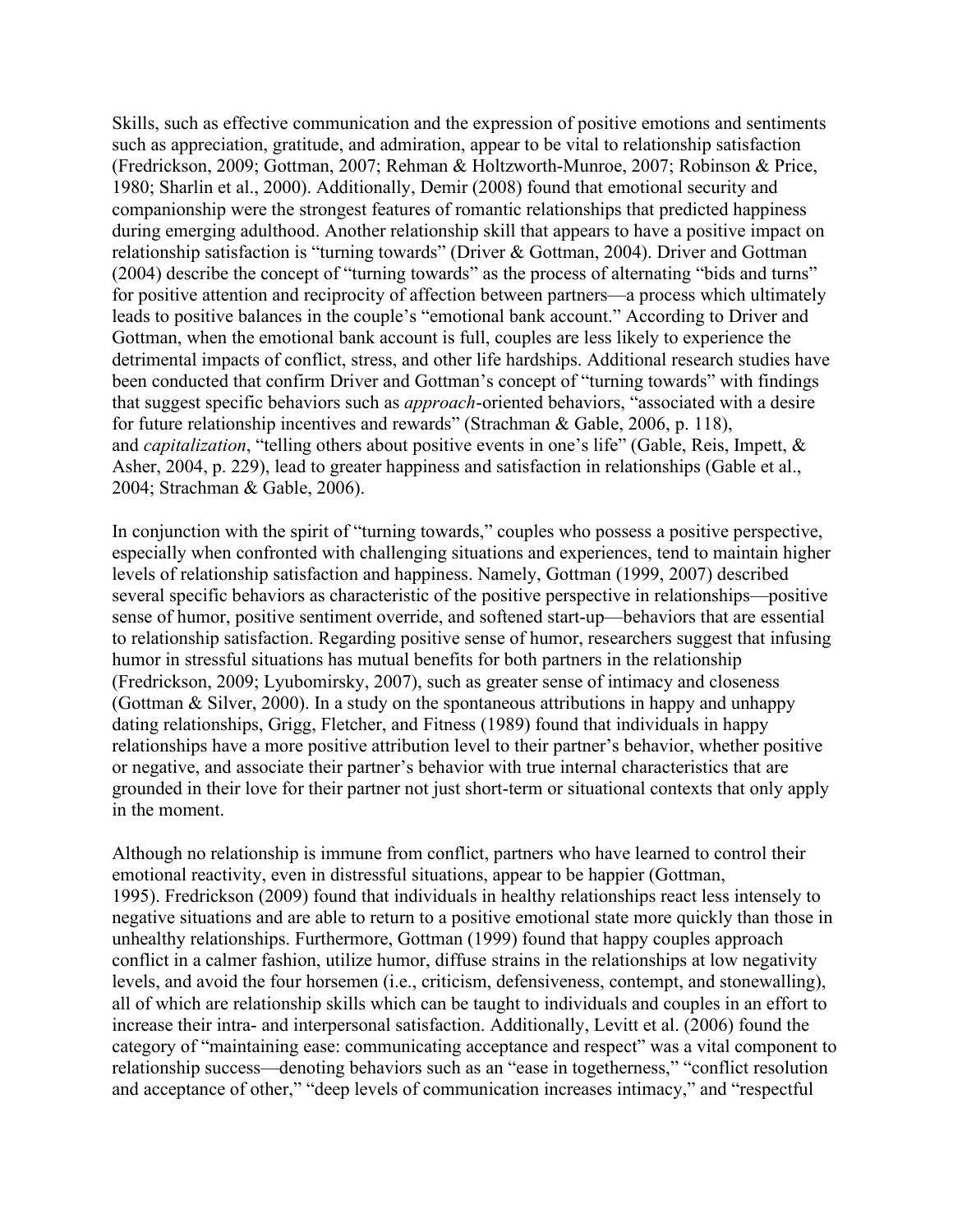Skills, such as effective communication and the expression of positive emotions and sentiments such as appreciation, gratitude, and admiration, appear to be vital to relationship satisfaction (Fredrickson, 2009; Gottman, 2007; Rehman & Holtzworth-Munroe, 2007; Robinson & Price, 1980; Sharlin et al., 2000). Additionally, Demir (2008) found that emotional security and companionship were the strongest features of romantic relationships that predicted happiness during emerging adulthood. Another relationship skill that appears to have a positive impact on relationship satisfaction is "turning towards" (Driver & Gottman, 2004). Driver and Gottman (2004) describe the concept of "turning towards" as the process of alternating "bids and turns" for positive attention and reciprocity of affection between partners—a process which ultimately leads to positive balances in the couple's "emotional bank account." According to Driver and Gottman, when the emotional bank account is full, couples are less likely to experience the detrimental impacts of conflict, stress, and other life hardships. Additional research studies have been conducted that confirm Driver and Gottman's concept of "turning towards" with findings that suggest specific behaviors such as *approach*-oriented behaviors, "associated with a desire for future relationship incentives and rewards" (Strachman & Gable, 2006, p. 118), and *capitalization*, "telling others about positive events in one's life" (Gable, Reis, Impett, & Asher, 2004, p. 229), lead to greater happiness and satisfaction in relationships (Gable et al., 2004; Strachman & Gable, 2006).

In conjunction with the spirit of "turning towards," couples who possess a positive perspective, especially when confronted with challenging situations and experiences, tend to maintain higher levels of relationship satisfaction and happiness. Namely, Gottman (1999, 2007) described several specific behaviors as characteristic of the positive perspective in relationships—positive sense of humor, positive sentiment override, and softened start-up—behaviors that are essential to relationship satisfaction. Regarding positive sense of humor, researchers suggest that infusing humor in stressful situations has mutual benefits for both partners in the relationship (Fredrickson, 2009; Lyubomirsky, 2007), such as greater sense of intimacy and closeness (Gottman & Silver, 2000). In a study on the spontaneous attributions in happy and unhappy dating relationships, Grigg, Fletcher, and Fitness (1989) found that individuals in happy relationships have a more positive attribution level to their partner's behavior, whether positive or negative, and associate their partner's behavior with true internal characteristics that are grounded in their love for their partner not just short-term or situational contexts that only apply in the moment.

Although no relationship is immune from conflict, partners who have learned to control their emotional reactivity, even in distressful situations, appear to be happier (Gottman, 1995). Fredrickson (2009) found that individuals in healthy relationships react less intensely to negative situations and are able to return to a positive emotional state more quickly than those in unhealthy relationships. Furthermore, Gottman (1999) found that happy couples approach conflict in a calmer fashion, utilize humor, diffuse strains in the relationships at low negativity levels, and avoid the four horsemen (i.e., criticism, defensiveness, contempt, and stonewalling), all of which are relationship skills which can be taught to individuals and couples in an effort to increase their intra- and interpersonal satisfaction. Additionally, Levitt et al. (2006) found the category of "maintaining ease: communicating acceptance and respect" was a vital component to relationship success—denoting behaviors such as an "ease in togetherness," "conflict resolution and acceptance of other," "deep levels of communication increases intimacy," and "respectful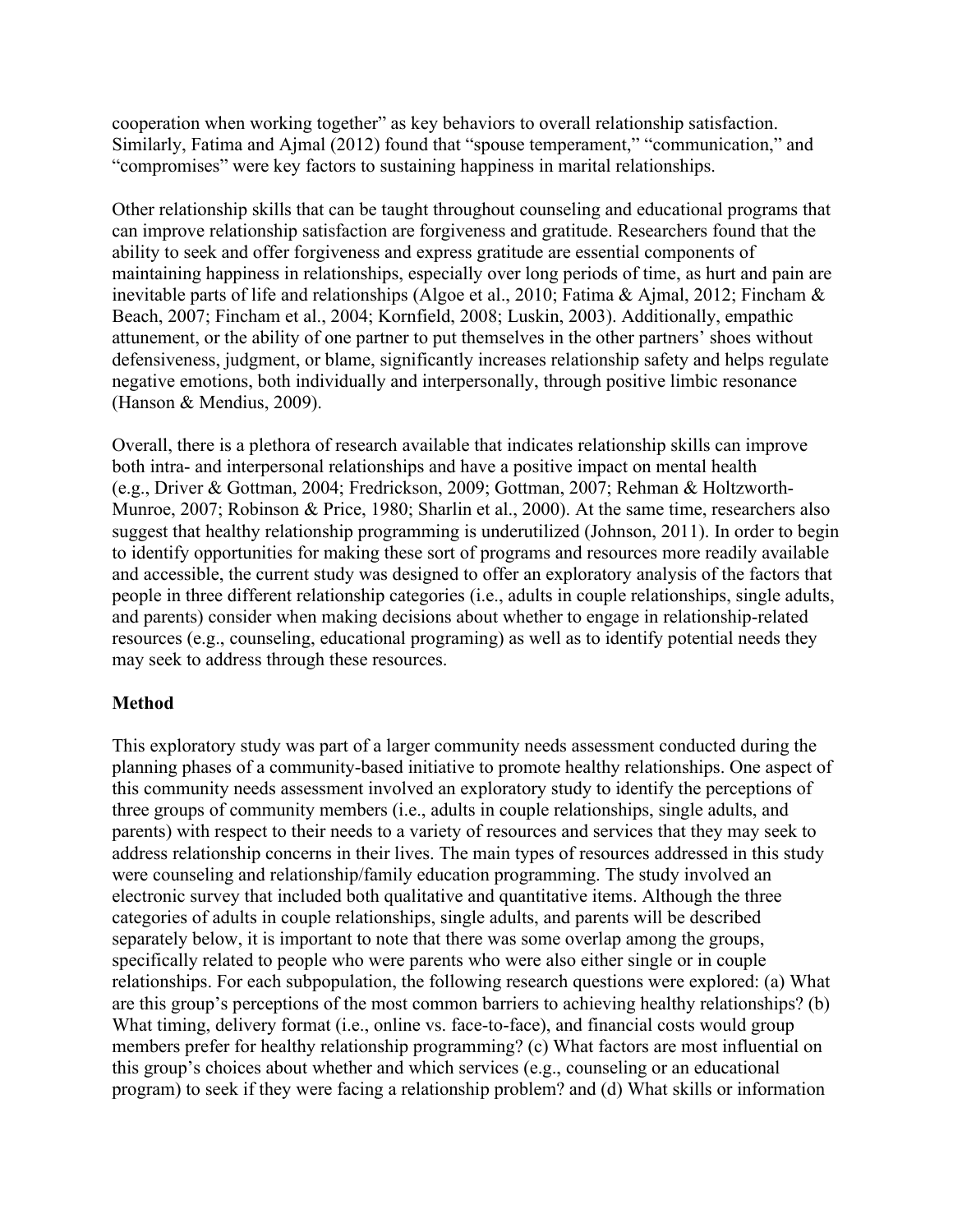cooperation when working together" as key behaviors to overall relationship satisfaction. Similarly, Fatima and Ajmal (2012) found that "spouse temperament," "communication," and "compromises" were key factors to sustaining happiness in marital relationships.

Other relationship skills that can be taught throughout counseling and educational programs that can improve relationship satisfaction are forgiveness and gratitude. Researchers found that the ability to seek and offer forgiveness and express gratitude are essential components of maintaining happiness in relationships, especially over long periods of time, as hurt and pain are inevitable parts of life and relationships (Algoe et al., 2010; Fatima & Ajmal, 2012; Fincham & Beach, 2007; Fincham et al., 2004; Kornfield, 2008; Luskin, 2003). Additionally, empathic attunement, or the ability of one partner to put themselves in the other partners' shoes without defensiveness, judgment, or blame, significantly increases relationship safety and helps regulate negative emotions, both individually and interpersonally, through positive limbic resonance (Hanson & Mendius, 2009).

Overall, there is a plethora of research available that indicates relationship skills can improve both intra- and interpersonal relationships and have a positive impact on mental health (e.g., Driver & Gottman, 2004; Fredrickson, 2009; Gottman, 2007; Rehman & Holtzworth-Munroe, 2007; Robinson & Price, 1980; Sharlin et al., 2000). At the same time, researchers also suggest that healthy relationship programming is underutilized (Johnson, 2011). In order to begin to identify opportunities for making these sort of programs and resources more readily available and accessible, the current study was designed to offer an exploratory analysis of the factors that people in three different relationship categories (i.e., adults in couple relationships, single adults, and parents) consider when making decisions about whether to engage in relationship-related resources (e.g., counseling, educational programing) as well as to identify potential needs they may seek to address through these resources.

#### **Method**

This exploratory study was part of a larger community needs assessment conducted during the planning phases of a community-based initiative to promote healthy relationships. One aspect of this community needs assessment involved an exploratory study to identify the perceptions of three groups of community members (i.e., adults in couple relationships, single adults, and parents) with respect to their needs to a variety of resources and services that they may seek to address relationship concerns in their lives. The main types of resources addressed in this study were counseling and relationship/family education programming. The study involved an electronic survey that included both qualitative and quantitative items. Although the three categories of adults in couple relationships, single adults, and parents will be described separately below, it is important to note that there was some overlap among the groups, specifically related to people who were parents who were also either single or in couple relationships. For each subpopulation, the following research questions were explored: (a) What are this group's perceptions of the most common barriers to achieving healthy relationships? (b) What timing, delivery format (i.e., online vs. face-to-face), and financial costs would group members prefer for healthy relationship programming? (c) What factors are most influential on this group's choices about whether and which services (e.g., counseling or an educational program) to seek if they were facing a relationship problem? and (d) What skills or information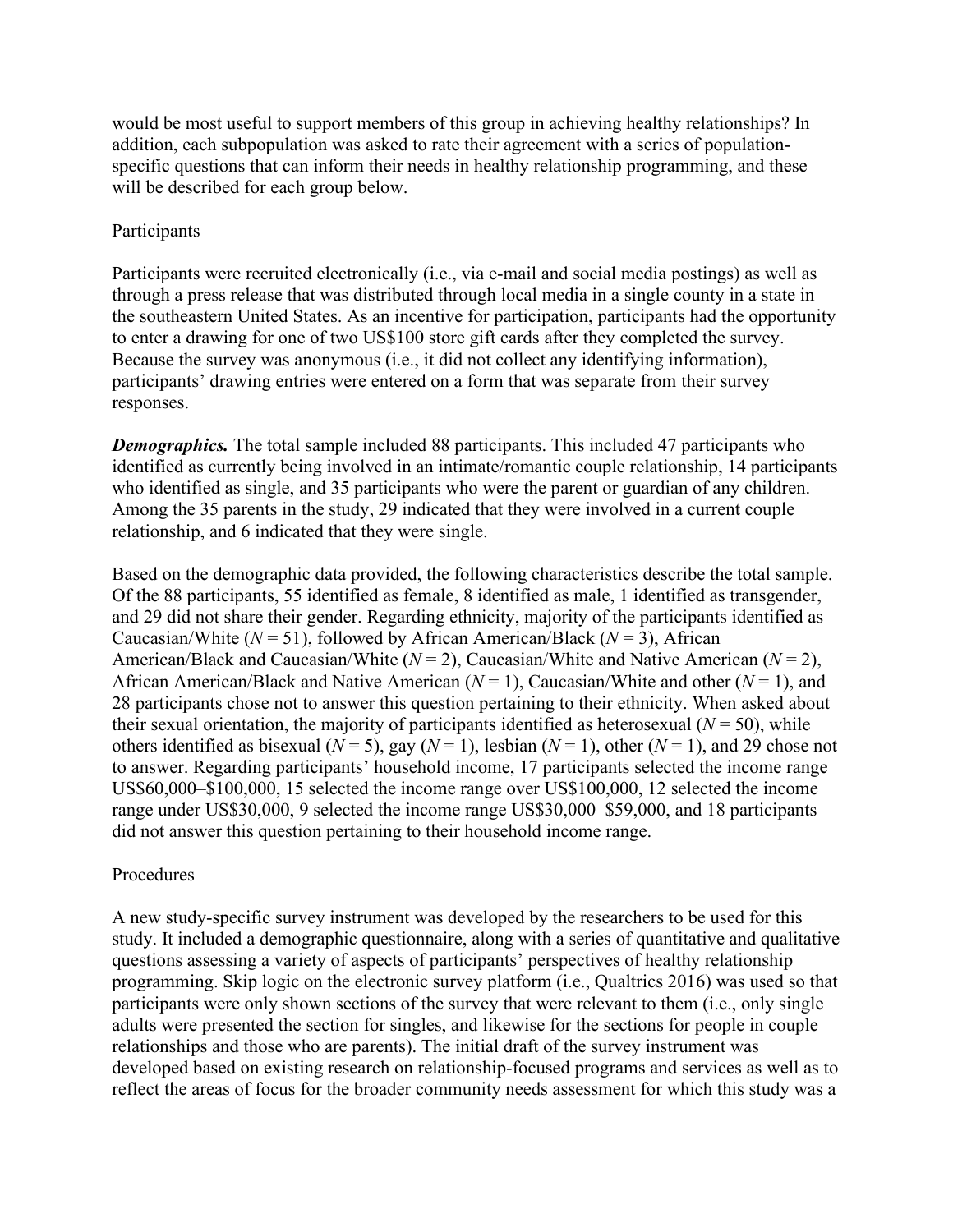would be most useful to support members of this group in achieving healthy relationships? In addition, each subpopulation was asked to rate their agreement with a series of populationspecific questions that can inform their needs in healthy relationship programming, and these will be described for each group below.

#### Participants

Participants were recruited electronically (i.e., via e-mail and social media postings) as well as through a press release that was distributed through local media in a single county in a state in the southeastern United States. As an incentive for participation, participants had the opportunity to enter a drawing for one of two US\$100 store gift cards after they completed the survey. Because the survey was anonymous (i.e., it did not collect any identifying information), participants' drawing entries were entered on a form that was separate from their survey responses.

*Demographics.* The total sample included 88 participants. This included 47 participants who identified as currently being involved in an intimate/romantic couple relationship, 14 participants who identified as single, and 35 participants who were the parent or guardian of any children. Among the 35 parents in the study, 29 indicated that they were involved in a current couple relationship, and 6 indicated that they were single.

Based on the demographic data provided, the following characteristics describe the total sample. Of the 88 participants, 55 identified as female, 8 identified as male, 1 identified as transgender, and 29 did not share their gender. Regarding ethnicity, majority of the participants identified as Caucasian/White  $(N = 51)$ , followed by African American/Black  $(N = 3)$ , African American/Black and Caucasian/White (*N* = 2), Caucasian/White and Native American (*N* = 2), African American/Black and Native American (*N* = 1), Caucasian/White and other (*N* = 1), and 28 participants chose not to answer this question pertaining to their ethnicity. When asked about their sexual orientation, the majority of participants identified as heterosexual  $(N = 50)$ , while others identified as bisexual ( $N = 5$ ), gay ( $N = 1$ ), lesbian ( $N = 1$ ), other ( $N = 1$ ), and 29 chose not to answer. Regarding participants' household income, 17 participants selected the income range US\$60,000–\$100,000, 15 selected the income range over US\$100,000, 12 selected the income range under US\$30,000, 9 selected the income range US\$30,000–\$59,000, and 18 participants did not answer this question pertaining to their household income range.

#### Procedures

A new study-specific survey instrument was developed by the researchers to be used for this study. It included a demographic questionnaire, along with a series of quantitative and qualitative questions assessing a variety of aspects of participants' perspectives of healthy relationship programming. Skip logic on the electronic survey platform (i.e., Qualtrics 2016) was used so that participants were only shown sections of the survey that were relevant to them (i.e., only single adults were presented the section for singles, and likewise for the sections for people in couple relationships and those who are parents). The initial draft of the survey instrument was developed based on existing research on relationship-focused programs and services as well as to reflect the areas of focus for the broader community needs assessment for which this study was a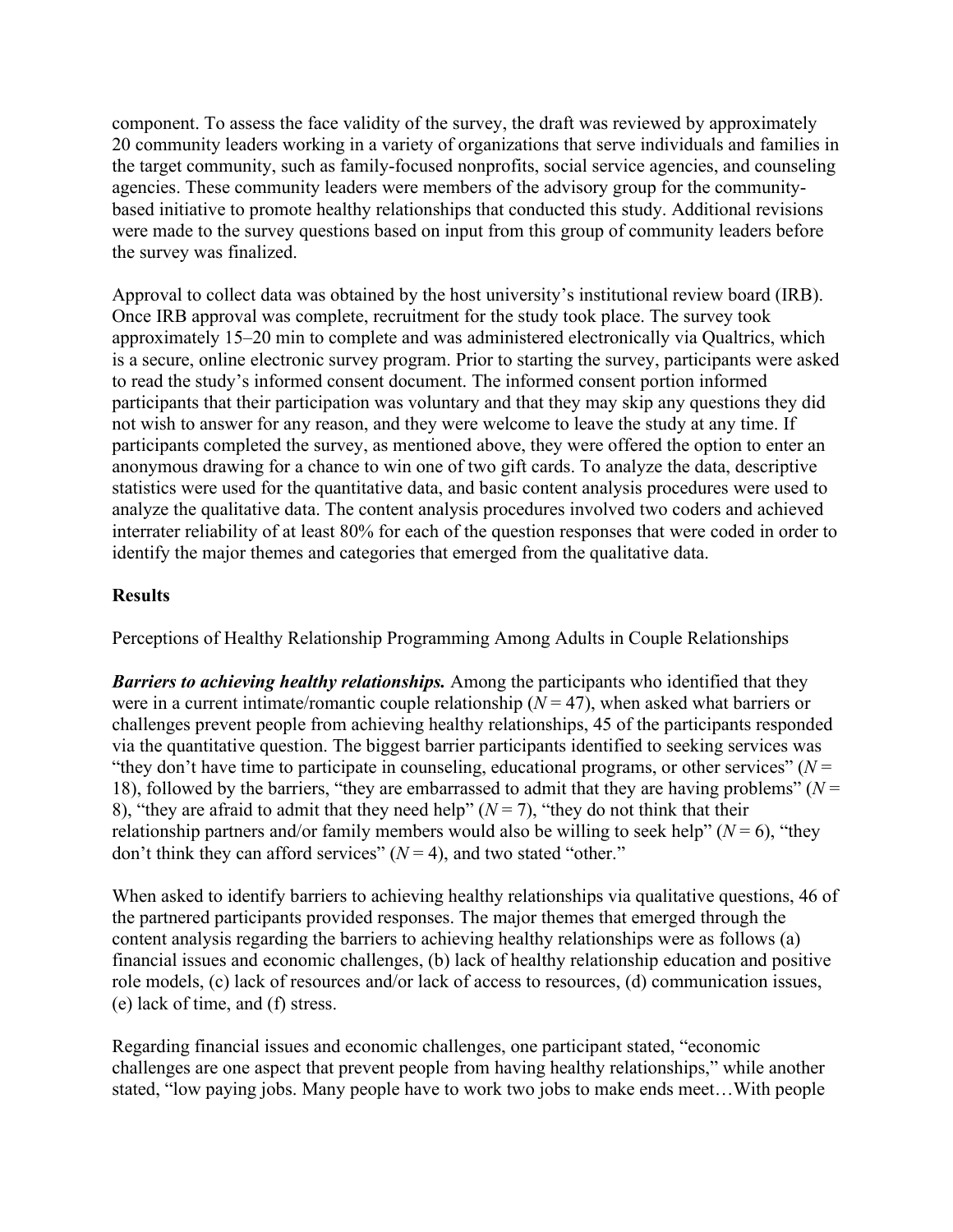component. To assess the face validity of the survey, the draft was reviewed by approximately 20 community leaders working in a variety of organizations that serve individuals and families in the target community, such as family-focused nonprofits, social service agencies, and counseling agencies. These community leaders were members of the advisory group for the communitybased initiative to promote healthy relationships that conducted this study. Additional revisions were made to the survey questions based on input from this group of community leaders before the survey was finalized.

Approval to collect data was obtained by the host university's institutional review board (IRB). Once IRB approval was complete, recruitment for the study took place. The survey took approximately 15–20 min to complete and was administered electronically via Qualtrics, which is a secure, online electronic survey program. Prior to starting the survey, participants were asked to read the study's informed consent document. The informed consent portion informed participants that their participation was voluntary and that they may skip any questions they did not wish to answer for any reason, and they were welcome to leave the study at any time. If participants completed the survey, as mentioned above, they were offered the option to enter an anonymous drawing for a chance to win one of two gift cards. To analyze the data, descriptive statistics were used for the quantitative data, and basic content analysis procedures were used to analyze the qualitative data. The content analysis procedures involved two coders and achieved interrater reliability of at least 80% for each of the question responses that were coded in order to identify the major themes and categories that emerged from the qualitative data.

## **Results**

Perceptions of Healthy Relationship Programming Among Adults in Couple Relationships

*Barriers to achieving healthy relationships.* Among the participants who identified that they were in a current intimate/romantic couple relationship  $(N = 47)$ , when asked what barriers or challenges prevent people from achieving healthy relationships, 45 of the participants responded via the quantitative question. The biggest barrier participants identified to seeking services was "they don't have time to participate in counseling, educational programs, or other services"  $(N =$ 18), followed by the barriers, "they are embarrassed to admit that they are having problems" ( $N =$ 8), "they are afraid to admit that they need help"  $(N = 7)$ , "they do not think that their relationship partners and/or family members would also be willing to seek help" ( $N = 6$ ), "they don't think they can afford services"  $(N = 4)$ , and two stated "other."

When asked to identify barriers to achieving healthy relationships via qualitative questions, 46 of the partnered participants provided responses. The major themes that emerged through the content analysis regarding the barriers to achieving healthy relationships were as follows (a) financial issues and economic challenges, (b) lack of healthy relationship education and positive role models, (c) lack of resources and/or lack of access to resources, (d) communication issues, (e) lack of time, and (f) stress.

Regarding financial issues and economic challenges, one participant stated, "economic challenges are one aspect that prevent people from having healthy relationships," while another stated, "low paying jobs. Many people have to work two jobs to make ends meet…With people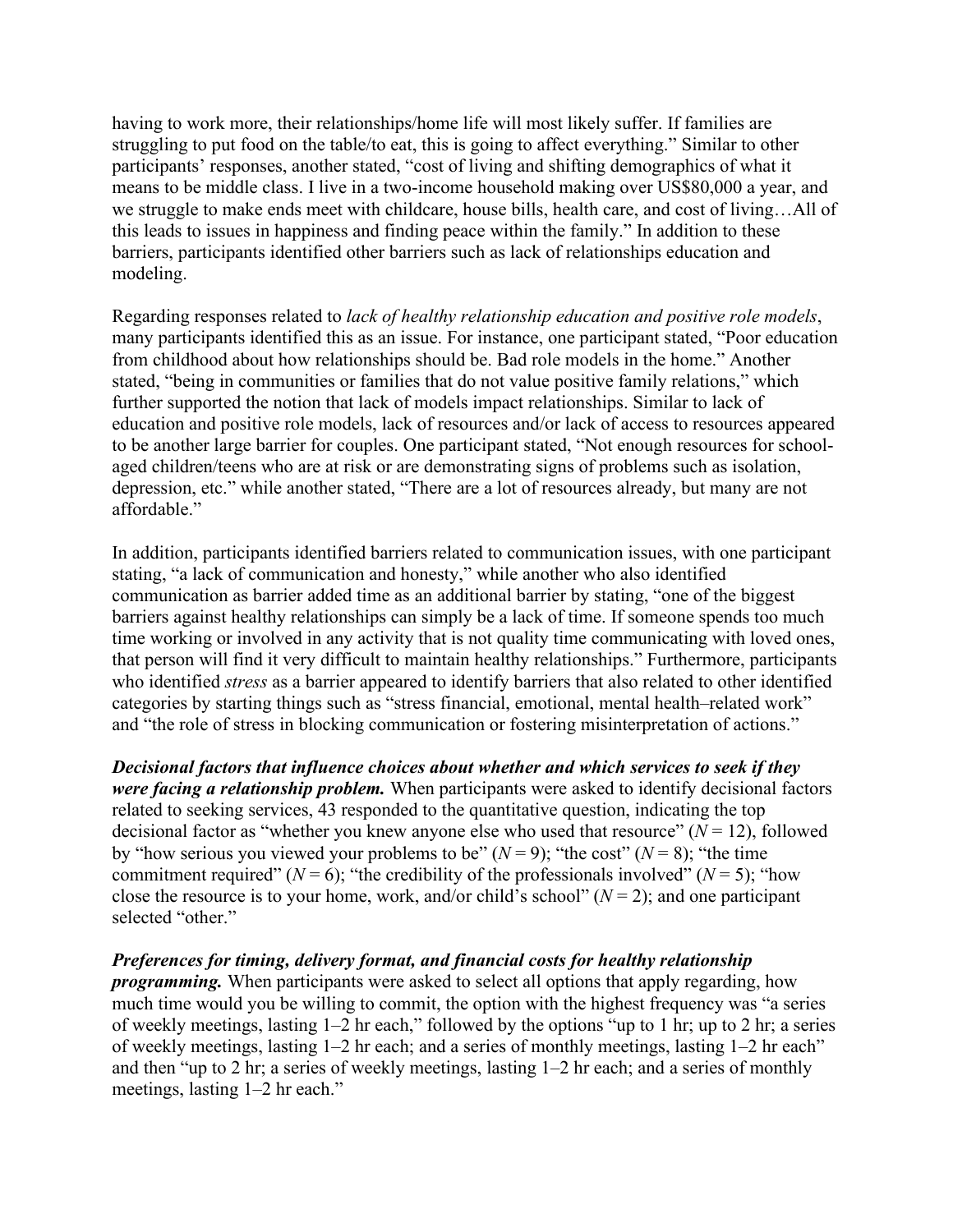having to work more, their relationships/home life will most likely suffer. If families are struggling to put food on the table/to eat, this is going to affect everything." Similar to other participants' responses, another stated, "cost of living and shifting demographics of what it means to be middle class. I live in a two-income household making over US\$80,000 a year, and we struggle to make ends meet with childcare, house bills, health care, and cost of living…All of this leads to issues in happiness and finding peace within the family." In addition to these barriers, participants identified other barriers such as lack of relationships education and modeling.

Regarding responses related to *lack of healthy relationship education and positive role models*, many participants identified this as an issue. For instance, one participant stated, "Poor education from childhood about how relationships should be. Bad role models in the home." Another stated, "being in communities or families that do not value positive family relations," which further supported the notion that lack of models impact relationships. Similar to lack of education and positive role models, lack of resources and/or lack of access to resources appeared to be another large barrier for couples. One participant stated, "Not enough resources for schoolaged children/teens who are at risk or are demonstrating signs of problems such as isolation, depression, etc." while another stated, "There are a lot of resources already, but many are not affordable."

In addition, participants identified barriers related to communication issues, with one participant stating, "a lack of communication and honesty," while another who also identified communication as barrier added time as an additional barrier by stating, "one of the biggest barriers against healthy relationships can simply be a lack of time. If someone spends too much time working or involved in any activity that is not quality time communicating with loved ones, that person will find it very difficult to maintain healthy relationships." Furthermore, participants who identified *stress* as a barrier appeared to identify barriers that also related to other identified categories by starting things such as "stress financial, emotional, mental health–related work" and "the role of stress in blocking communication or fostering misinterpretation of actions."

*Decisional factors that influence choices about whether and which services to seek if they were facing a relationship problem.* When participants were asked to identify decisional factors related to seeking services, 43 responded to the quantitative question, indicating the top decisional factor as "whether you knew anyone else who used that resource" (*N* = 12), followed by "how serious you viewed your problems to be"  $(N = 9)$ ; "the cost"  $(N = 8)$ ; "the time commitment required" ( $N = 6$ ); "the credibility of the professionals involved" ( $N = 5$ ); "how close the resource is to your home, work, and/or child's school"  $(N = 2)$ ; and one participant selected "other."

## *Preferences for timing, delivery format, and financial costs for healthy relationship*

*programming.* When participants were asked to select all options that apply regarding, how much time would you be willing to commit, the option with the highest frequency was "a series of weekly meetings, lasting 1–2 hr each," followed by the options "up to 1 hr; up to 2 hr; a series of weekly meetings, lasting 1–2 hr each; and a series of monthly meetings, lasting 1–2 hr each" and then "up to 2 hr; a series of weekly meetings, lasting 1–2 hr each; and a series of monthly meetings, lasting 1–2 hr each."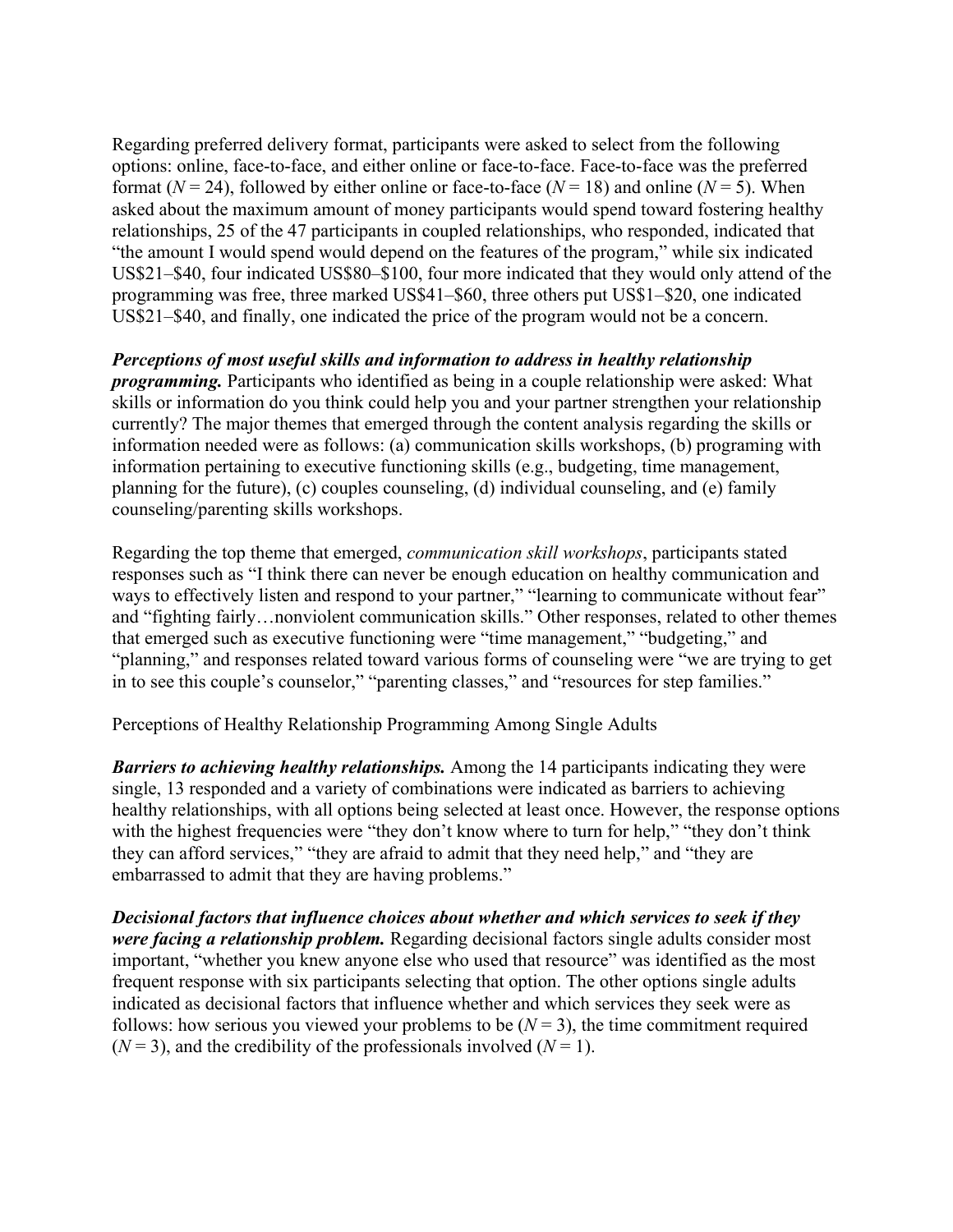Regarding preferred delivery format, participants were asked to select from the following options: online, face-to-face, and either online or face-to-face. Face-to-face was the preferred format ( $N = 24$ ), followed by either online or face-to-face ( $N = 18$ ) and online ( $N = 5$ ). When asked about the maximum amount of money participants would spend toward fostering healthy relationships, 25 of the 47 participants in coupled relationships, who responded, indicated that "the amount I would spend would depend on the features of the program," while six indicated US\$21–\$40, four indicated US\$80–\$100, four more indicated that they would only attend of the programming was free, three marked US\$41–\$60, three others put US\$1–\$20, one indicated US\$21–\$40, and finally, one indicated the price of the program would not be a concern.

## *Perceptions of most useful skills and information to address in healthy relationship*

*programming.* Participants who identified as being in a couple relationship were asked: What skills or information do you think could help you and your partner strengthen your relationship currently? The major themes that emerged through the content analysis regarding the skills or information needed were as follows: (a) communication skills workshops, (b) programing with information pertaining to executive functioning skills (e.g., budgeting, time management, planning for the future), (c) couples counseling, (d) individual counseling, and (e) family counseling/parenting skills workshops.

Regarding the top theme that emerged, *communication skill workshops*, participants stated responses such as "I think there can never be enough education on healthy communication and ways to effectively listen and respond to your partner," "learning to communicate without fear" and "fighting fairly…nonviolent communication skills." Other responses, related to other themes that emerged such as executive functioning were "time management," "budgeting," and "planning," and responses related toward various forms of counseling were "we are trying to get in to see this couple's counselor," "parenting classes," and "resources for step families."

Perceptions of Healthy Relationship Programming Among Single Adults

*Barriers to achieving healthy relationships.* Among the 14 participants indicating they were single, 13 responded and a variety of combinations were indicated as barriers to achieving healthy relationships, with all options being selected at least once. However, the response options with the highest frequencies were "they don't know where to turn for help," "they don't think they can afford services," "they are afraid to admit that they need help," and "they are embarrassed to admit that they are having problems."

*Decisional factors that influence choices about whether and which services to seek if they were facing a relationship problem.* Regarding decisional factors single adults consider most important, "whether you knew anyone else who used that resource" was identified as the most frequent response with six participants selecting that option. The other options single adults indicated as decisional factors that influence whether and which services they seek were as follows: how serious you viewed your problems to be  $(N = 3)$ , the time commitment required  $(N=3)$ , and the credibility of the professionals involved  $(N=1)$ .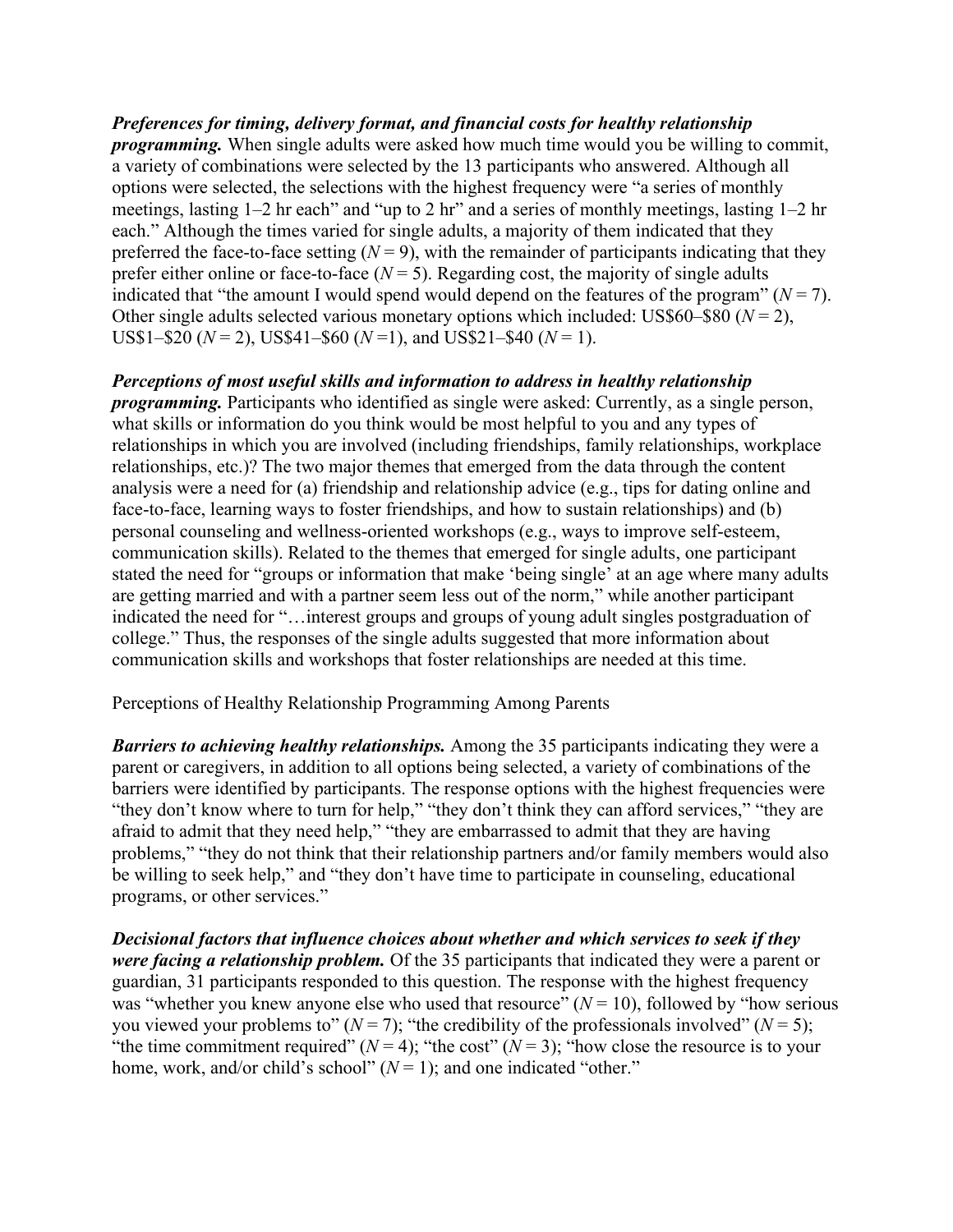*Preferences for timing, delivery format, and financial costs for healthy relationship programming.* When single adults were asked how much time would you be willing to commit, a variety of combinations were selected by the 13 participants who answered. Although all options were selected, the selections with the highest frequency were "a series of monthly meetings, lasting 1–2 hr each" and "up to 2 hr" and a series of monthly meetings, lasting 1–2 hr each." Although the times varied for single adults, a majority of them indicated that they preferred the face-to-face setting  $(N = 9)$ , with the remainder of participants indicating that they prefer either online or face-to-face  $(N = 5)$ . Regarding cost, the majority of single adults indicated that "the amount I would spend would depend on the features of the program"  $(N = 7)$ . Other single adults selected various monetary options which included: US\$60–\$80 ( $N = 2$ ), US\$1–\$20 ( $N = 2$ ), US\$41–\$60 ( $N = 1$ ), and US\$21–\$40 ( $N = 1$ ).

# *Perceptions of most useful skills and information to address in healthy relationship*

*programming.* Participants who identified as single were asked: Currently, as a single person, what skills or information do you think would be most helpful to you and any types of relationships in which you are involved (including friendships, family relationships, workplace relationships, etc.)? The two major themes that emerged from the data through the content analysis were a need for (a) friendship and relationship advice (e.g., tips for dating online and face-to-face, learning ways to foster friendships, and how to sustain relationships) and (b) personal counseling and wellness-oriented workshops (e.g., ways to improve self-esteem, communication skills). Related to the themes that emerged for single adults, one participant stated the need for "groups or information that make 'being single' at an age where many adults are getting married and with a partner seem less out of the norm," while another participant indicated the need for "…interest groups and groups of young adult singles postgraduation of college." Thus, the responses of the single adults suggested that more information about communication skills and workshops that foster relationships are needed at this time.

Perceptions of Healthy Relationship Programming Among Parents

*Barriers to achieving healthy relationships.* Among the 35 participants indicating they were a parent or caregivers, in addition to all options being selected, a variety of combinations of the barriers were identified by participants. The response options with the highest frequencies were "they don't know where to turn for help," "they don't think they can afford services," "they are afraid to admit that they need help," "they are embarrassed to admit that they are having problems," "they do not think that their relationship partners and/or family members would also be willing to seek help," and "they don't have time to participate in counseling, educational programs, or other services."

*Decisional factors that influence choices about whether and which services to seek if they were facing a relationship problem.* Of the 35 participants that indicated they were a parent or guardian, 31 participants responded to this question. The response with the highest frequency was "whether you knew anyone else who used that resource"  $(N = 10)$ , followed by "how serious" you viewed your problems to"  $(N = 7)$ ; "the credibility of the professionals involved"  $(N = 5)$ ; "the time commitment required"  $(N = 4)$ ; "the cost"  $(N = 3)$ ; "how close the resource is to your home, work, and/or child's school"  $(N = 1)$ ; and one indicated "other."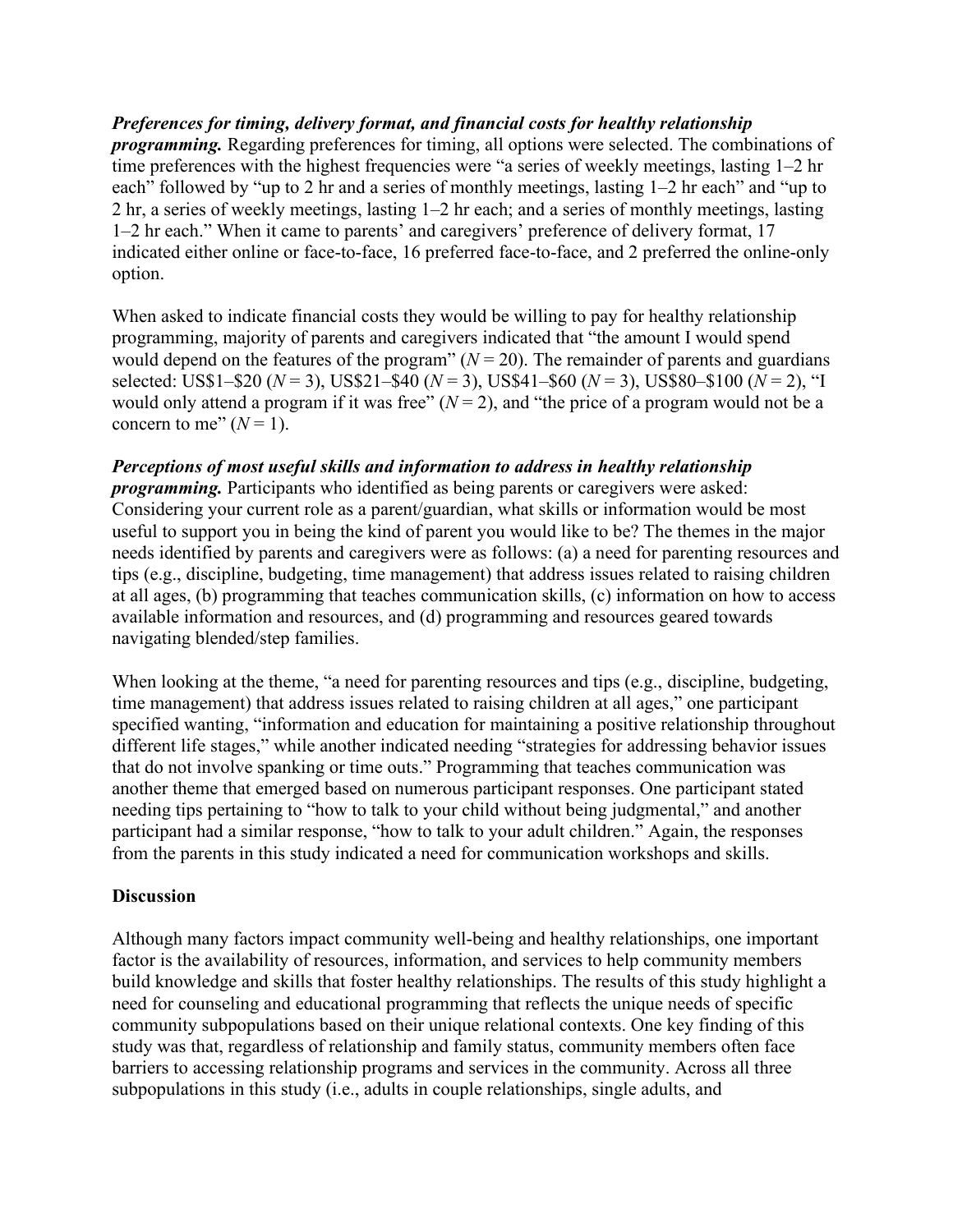*Preferences for timing, delivery format, and financial costs for healthy relationship programming.* Regarding preferences for timing, all options were selected. The combinations of time preferences with the highest frequencies were "a series of weekly meetings, lasting 1–2 hr each" followed by "up to 2 hr and a series of monthly meetings, lasting 1–2 hr each" and "up to 2 hr, a series of weekly meetings, lasting 1–2 hr each; and a series of monthly meetings, lasting 1–2 hr each." When it came to parents' and caregivers' preference of delivery format, 17 indicated either online or face-to-face, 16 preferred face-to-face, and 2 preferred the online-only option.

When asked to indicate financial costs they would be willing to pay for healthy relationship programming, majority of parents and caregivers indicated that "the amount I would spend would depend on the features of the program"  $(N = 20)$ . The remainder of parents and guardians selected: US\$1–\$20 (*N* = 3), US\$21–\$40 (*N* = 3), US\$41–\$60 (*N* = 3), US\$80–\$100 (*N* = 2), "I would only attend a program if it was free"  $(N = 2)$ , and "the price of a program would not be a concern to me"  $(N=1)$ .

#### *Perceptions of most useful skills and information to address in healthy relationship*

*programming.* Participants who identified as being parents or caregivers were asked: Considering your current role as a parent/guardian, what skills or information would be most useful to support you in being the kind of parent you would like to be? The themes in the major needs identified by parents and caregivers were as follows: (a) a need for parenting resources and tips (e.g., discipline, budgeting, time management) that address issues related to raising children at all ages, (b) programming that teaches communication skills, (c) information on how to access available information and resources, and (d) programming and resources geared towards navigating blended/step families.

When looking at the theme, "a need for parenting resources and tips (e.g., discipline, budgeting, time management) that address issues related to raising children at all ages," one participant specified wanting, "information and education for maintaining a positive relationship throughout different life stages," while another indicated needing "strategies for addressing behavior issues that do not involve spanking or time outs." Programming that teaches communication was another theme that emerged based on numerous participant responses. One participant stated needing tips pertaining to "how to talk to your child without being judgmental," and another participant had a similar response, "how to talk to your adult children." Again, the responses from the parents in this study indicated a need for communication workshops and skills.

#### **Discussion**

Although many factors impact community well-being and healthy relationships, one important factor is the availability of resources, information, and services to help community members build knowledge and skills that foster healthy relationships. The results of this study highlight a need for counseling and educational programming that reflects the unique needs of specific community subpopulations based on their unique relational contexts. One key finding of this study was that, regardless of relationship and family status, community members often face barriers to accessing relationship programs and services in the community. Across all three subpopulations in this study (i.e., adults in couple relationships, single adults, and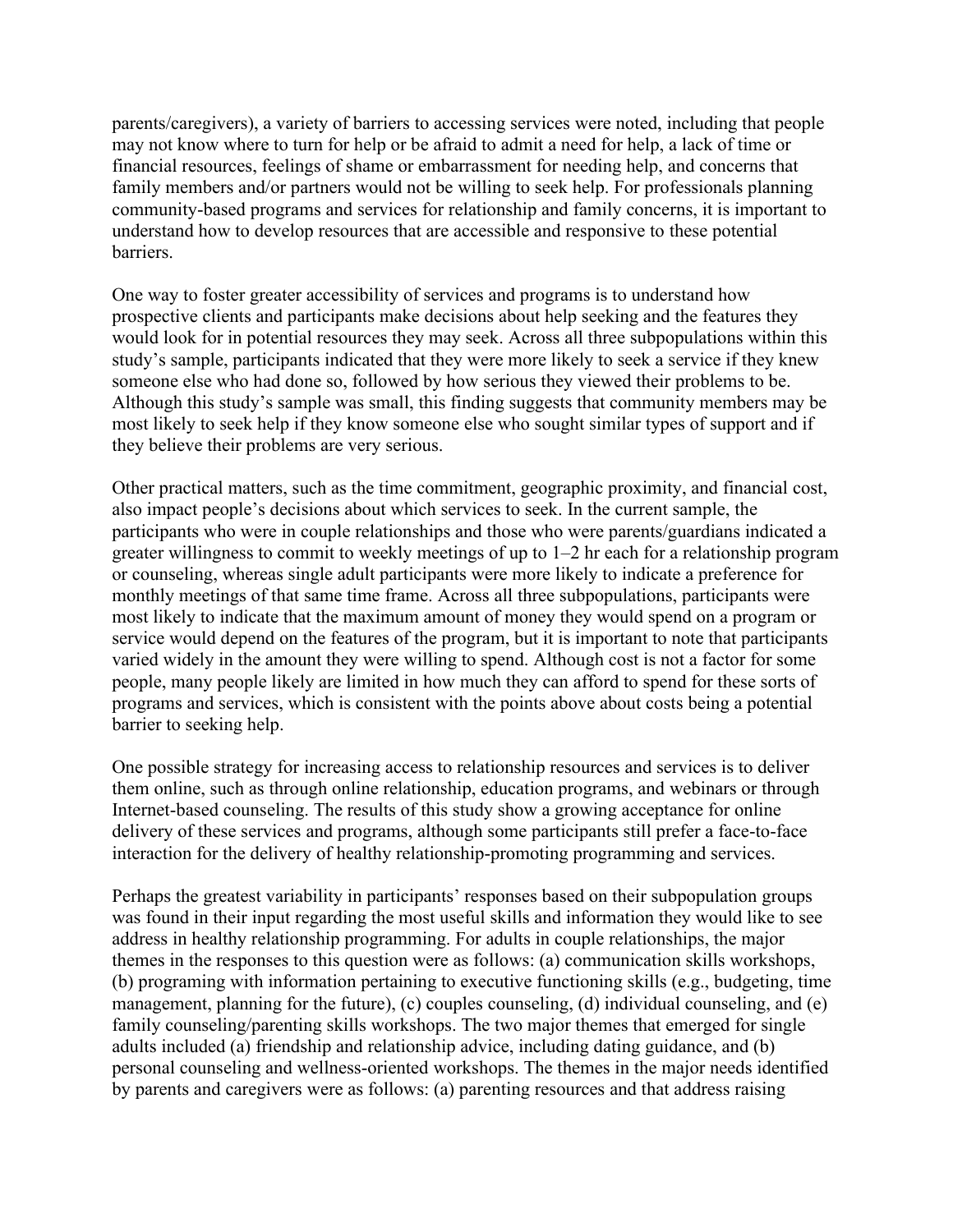parents/caregivers), a variety of barriers to accessing services were noted, including that people may not know where to turn for help or be afraid to admit a need for help, a lack of time or financial resources, feelings of shame or embarrassment for needing help, and concerns that family members and/or partners would not be willing to seek help. For professionals planning community-based programs and services for relationship and family concerns, it is important to understand how to develop resources that are accessible and responsive to these potential barriers.

One way to foster greater accessibility of services and programs is to understand how prospective clients and participants make decisions about help seeking and the features they would look for in potential resources they may seek. Across all three subpopulations within this study's sample, participants indicated that they were more likely to seek a service if they knew someone else who had done so, followed by how serious they viewed their problems to be. Although this study's sample was small, this finding suggests that community members may be most likely to seek help if they know someone else who sought similar types of support and if they believe their problems are very serious.

Other practical matters, such as the time commitment, geographic proximity, and financial cost, also impact people's decisions about which services to seek. In the current sample, the participants who were in couple relationships and those who were parents/guardians indicated a greater willingness to commit to weekly meetings of up to 1–2 hr each for a relationship program or counseling, whereas single adult participants were more likely to indicate a preference for monthly meetings of that same time frame. Across all three subpopulations, participants were most likely to indicate that the maximum amount of money they would spend on a program or service would depend on the features of the program, but it is important to note that participants varied widely in the amount they were willing to spend. Although cost is not a factor for some people, many people likely are limited in how much they can afford to spend for these sorts of programs and services, which is consistent with the points above about costs being a potential barrier to seeking help.

One possible strategy for increasing access to relationship resources and services is to deliver them online, such as through online relationship, education programs, and webinars or through Internet-based counseling. The results of this study show a growing acceptance for online delivery of these services and programs, although some participants still prefer a face-to-face interaction for the delivery of healthy relationship-promoting programming and services.

Perhaps the greatest variability in participants' responses based on their subpopulation groups was found in their input regarding the most useful skills and information they would like to see address in healthy relationship programming. For adults in couple relationships, the major themes in the responses to this question were as follows: (a) communication skills workshops, (b) programing with information pertaining to executive functioning skills (e.g., budgeting, time management, planning for the future), (c) couples counseling, (d) individual counseling, and (e) family counseling/parenting skills workshops. The two major themes that emerged for single adults included (a) friendship and relationship advice, including dating guidance, and (b) personal counseling and wellness-oriented workshops. The themes in the major needs identified by parents and caregivers were as follows: (a) parenting resources and that address raising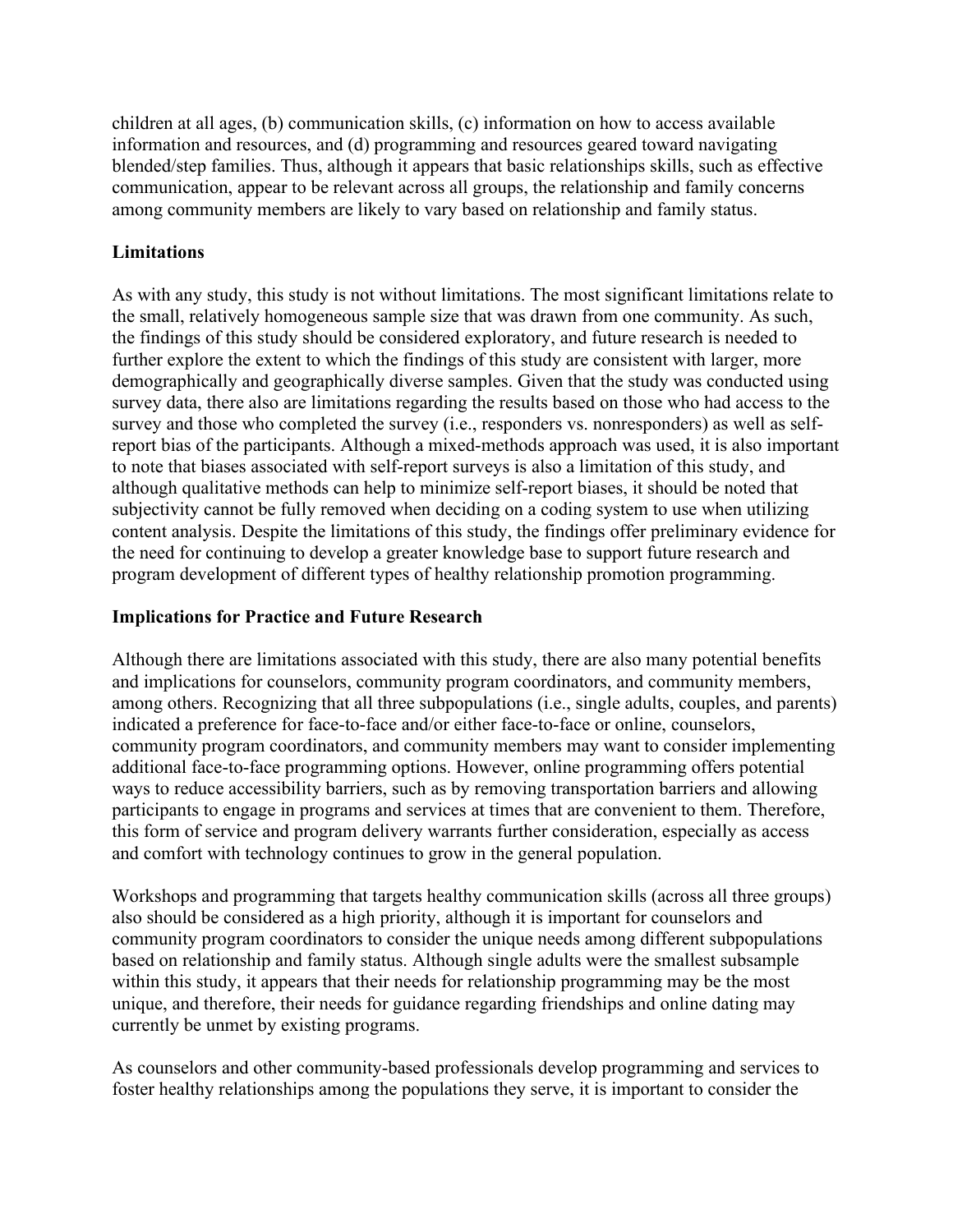children at all ages, (b) communication skills, (c) information on how to access available information and resources, and (d) programming and resources geared toward navigating blended/step families. Thus, although it appears that basic relationships skills, such as effective communication, appear to be relevant across all groups, the relationship and family concerns among community members are likely to vary based on relationship and family status.

### **Limitations**

As with any study, this study is not without limitations. The most significant limitations relate to the small, relatively homogeneous sample size that was drawn from one community. As such, the findings of this study should be considered exploratory, and future research is needed to further explore the extent to which the findings of this study are consistent with larger, more demographically and geographically diverse samples. Given that the study was conducted using survey data, there also are limitations regarding the results based on those who had access to the survey and those who completed the survey (i.e., responders vs. nonresponders) as well as selfreport bias of the participants. Although a mixed-methods approach was used, it is also important to note that biases associated with self-report surveys is also a limitation of this study, and although qualitative methods can help to minimize self-report biases, it should be noted that subjectivity cannot be fully removed when deciding on a coding system to use when utilizing content analysis. Despite the limitations of this study, the findings offer preliminary evidence for the need for continuing to develop a greater knowledge base to support future research and program development of different types of healthy relationship promotion programming.

### **Implications for Practice and Future Research**

Although there are limitations associated with this study, there are also many potential benefits and implications for counselors, community program coordinators, and community members, among others. Recognizing that all three subpopulations (i.e., single adults, couples, and parents) indicated a preference for face-to-face and/or either face-to-face or online, counselors, community program coordinators, and community members may want to consider implementing additional face-to-face programming options. However, online programming offers potential ways to reduce accessibility barriers, such as by removing transportation barriers and allowing participants to engage in programs and services at times that are convenient to them. Therefore, this form of service and program delivery warrants further consideration, especially as access and comfort with technology continues to grow in the general population.

Workshops and programming that targets healthy communication skills (across all three groups) also should be considered as a high priority, although it is important for counselors and community program coordinators to consider the unique needs among different subpopulations based on relationship and family status. Although single adults were the smallest subsample within this study, it appears that their needs for relationship programming may be the most unique, and therefore, their needs for guidance regarding friendships and online dating may currently be unmet by existing programs.

As counselors and other community-based professionals develop programming and services to foster healthy relationships among the populations they serve, it is important to consider the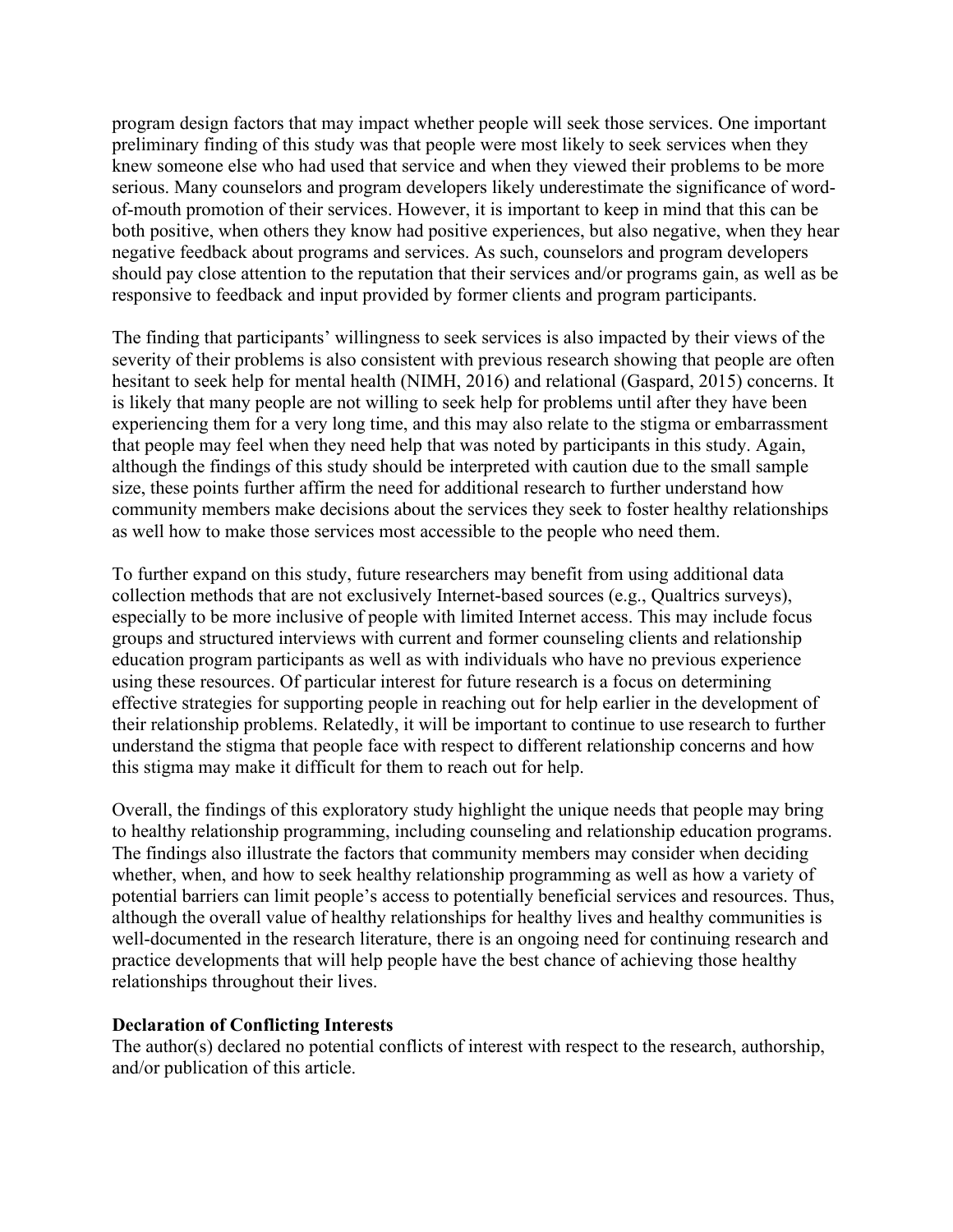program design factors that may impact whether people will seek those services. One important preliminary finding of this study was that people were most likely to seek services when they knew someone else who had used that service and when they viewed their problems to be more serious. Many counselors and program developers likely underestimate the significance of wordof-mouth promotion of their services. However, it is important to keep in mind that this can be both positive, when others they know had positive experiences, but also negative, when they hear negative feedback about programs and services. As such, counselors and program developers should pay close attention to the reputation that their services and/or programs gain, as well as be responsive to feedback and input provided by former clients and program participants.

The finding that participants' willingness to seek services is also impacted by their views of the severity of their problems is also consistent with previous research showing that people are often hesitant to seek help for mental health (NIMH, 2016) and relational (Gaspard, 2015) concerns. It is likely that many people are not willing to seek help for problems until after they have been experiencing them for a very long time, and this may also relate to the stigma or embarrassment that people may feel when they need help that was noted by participants in this study. Again, although the findings of this study should be interpreted with caution due to the small sample size, these points further affirm the need for additional research to further understand how community members make decisions about the services they seek to foster healthy relationships as well how to make those services most accessible to the people who need them.

To further expand on this study, future researchers may benefit from using additional data collection methods that are not exclusively Internet-based sources (e.g., Qualtrics surveys), especially to be more inclusive of people with limited Internet access. This may include focus groups and structured interviews with current and former counseling clients and relationship education program participants as well as with individuals who have no previous experience using these resources. Of particular interest for future research is a focus on determining effective strategies for supporting people in reaching out for help earlier in the development of their relationship problems. Relatedly, it will be important to continue to use research to further understand the stigma that people face with respect to different relationship concerns and how this stigma may make it difficult for them to reach out for help.

Overall, the findings of this exploratory study highlight the unique needs that people may bring to healthy relationship programming, including counseling and relationship education programs. The findings also illustrate the factors that community members may consider when deciding whether, when, and how to seek healthy relationship programming as well as how a variety of potential barriers can limit people's access to potentially beneficial services and resources. Thus, although the overall value of healthy relationships for healthy lives and healthy communities is well-documented in the research literature, there is an ongoing need for continuing research and practice developments that will help people have the best chance of achieving those healthy relationships throughout their lives.

#### **Declaration of Conflicting Interests**

The author(s) declared no potential conflicts of interest with respect to the research, authorship, and/or publication of this article.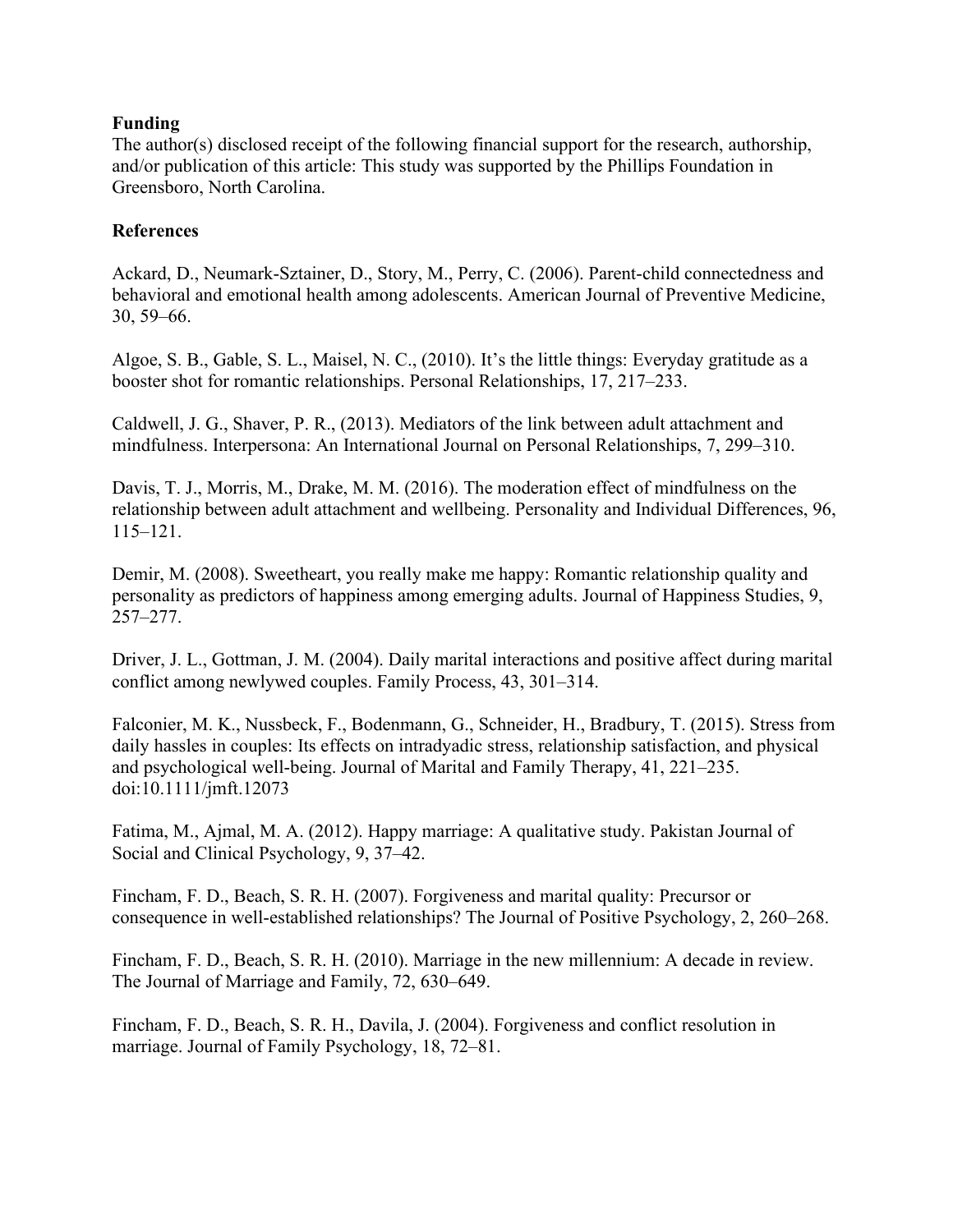#### **Funding**

The author(s) disclosed receipt of the following financial support for the research, authorship, and/or publication of this article: This study was supported by the Phillips Foundation in Greensboro, North Carolina.

### **References**

Ackard, D., Neumark-Sztainer, D., Story, M., Perry, C. (2006). Parent-child connectedness and behavioral and emotional health among adolescents. American Journal of Preventive Medicine, 30, 59–66.

Algoe, S. B., Gable, S. L., Maisel, N. C., (2010). It's the little things: Everyday gratitude as a booster shot for romantic relationships. Personal Relationships, 17, 217–233.

Caldwell, J. G., Shaver, P. R., (2013). Mediators of the link between adult attachment and mindfulness. Interpersona: An International Journal on Personal Relationships, 7, 299–310.

Davis, T. J., Morris, M., Drake, M. M. (2016). The moderation effect of mindfulness on the relationship between adult attachment and wellbeing. Personality and Individual Differences, 96, 115–121.

Demir, M. (2008). Sweetheart, you really make me happy: Romantic relationship quality and personality as predictors of happiness among emerging adults. Journal of Happiness Studies, 9, 257–277.

Driver, J. L., Gottman, J. M. (2004). Daily marital interactions and positive affect during marital conflict among newlywed couples. Family Process, 43, 301–314.

Falconier, M. K., Nussbeck, F., Bodenmann, G., Schneider, H., Bradbury, T. (2015). Stress from daily hassles in couples: Its effects on intradyadic stress, relationship satisfaction, and physical and psychological well-being. Journal of Marital and Family Therapy, 41, 221–235. doi:10.1111/jmft.12073

Fatima, M., Ajmal, M. A. (2012). Happy marriage: A qualitative study. Pakistan Journal of Social and Clinical Psychology, 9, 37–42.

Fincham, F. D., Beach, S. R. H. (2007). Forgiveness and marital quality: Precursor or consequence in well-established relationships? The Journal of Positive Psychology, 2, 260–268.

Fincham, F. D., Beach, S. R. H. (2010). Marriage in the new millennium: A decade in review. The Journal of Marriage and Family, 72, 630–649.

Fincham, F. D., Beach, S. R. H., Davila, J. (2004). Forgiveness and conflict resolution in marriage. Journal of Family Psychology, 18, 72–81.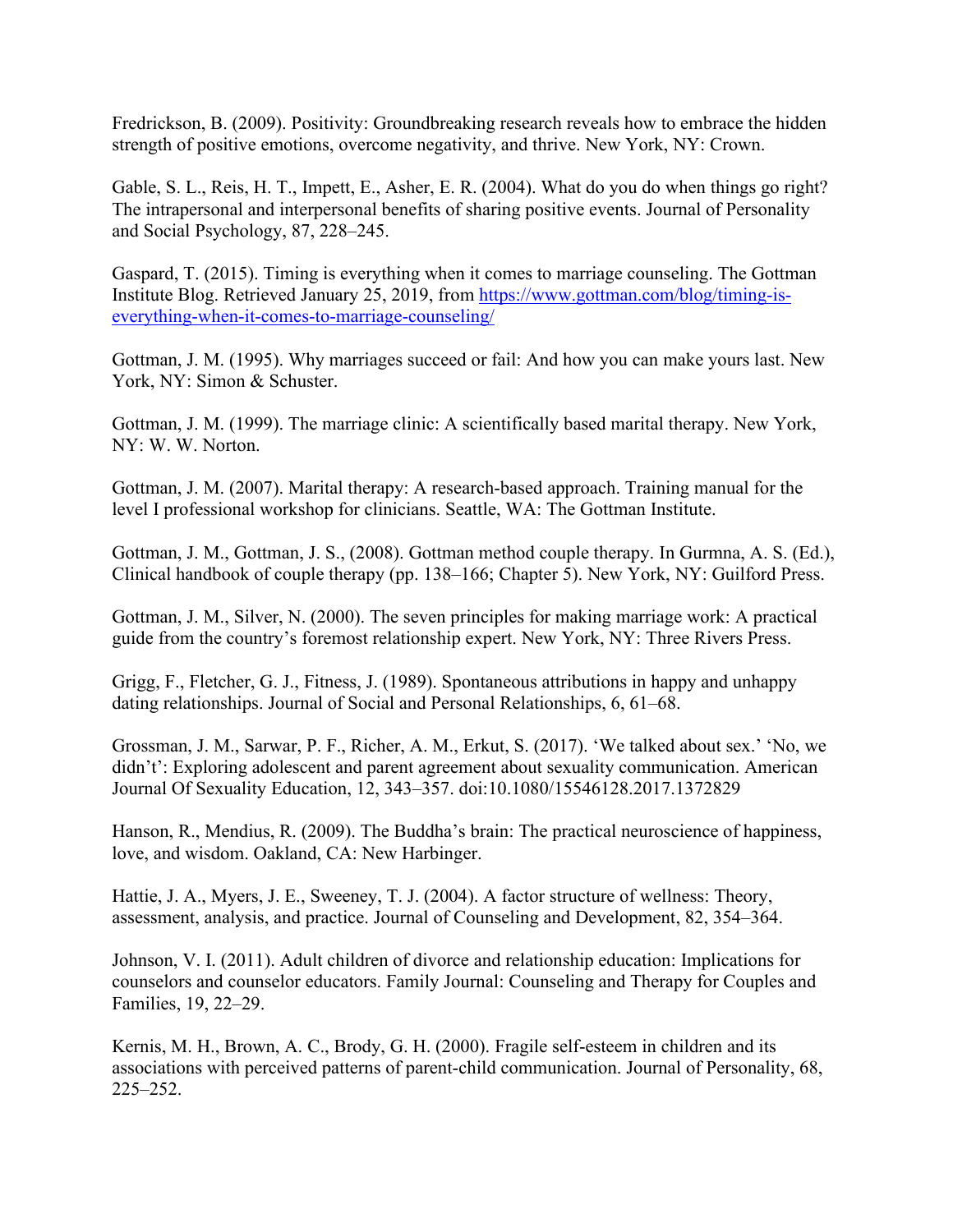Fredrickson, B. (2009). Positivity: Groundbreaking research reveals how to embrace the hidden strength of positive emotions, overcome negativity, and thrive. New York, NY: Crown.

Gable, S. L., Reis, H. T., Impett, E., Asher, E. R. (2004). What do you do when things go right? The intrapersonal and interpersonal benefits of sharing positive events. Journal of Personality and Social Psychology, 87, 228–245.

Gaspard, T. (2015). Timing is everything when it comes to marriage counseling. The Gottman Institute Blog. Retrieved January 25, 2019, from [https://www.gottman.com/blog/timing-is](https://www.gottman.com/blog/timing-is-everything-when-it-comes-to-marriage-counseling/)[everything-when-it-comes-to-marriage-counseling/](https://www.gottman.com/blog/timing-is-everything-when-it-comes-to-marriage-counseling/)

Gottman, J. M. (1995). Why marriages succeed or fail: And how you can make yours last. New York, NY: Simon & Schuster.

Gottman, J. M. (1999). The marriage clinic: A scientifically based marital therapy. New York, NY: W. W. Norton.

Gottman, J. M. (2007). Marital therapy: A research-based approach. Training manual for the level I professional workshop for clinicians. Seattle, WA: The Gottman Institute.

Gottman, J. M., Gottman, J. S., (2008). Gottman method couple therapy. In Gurmna, A. S. (Ed.), Clinical handbook of couple therapy (pp. 138–166; Chapter 5). New York, NY: Guilford Press.

Gottman, J. M., Silver, N. (2000). The seven principles for making marriage work: A practical guide from the country's foremost relationship expert. New York, NY: Three Rivers Press.

Grigg, F., Fletcher, G. J., Fitness, J. (1989). Spontaneous attributions in happy and unhappy dating relationships. Journal of Social and Personal Relationships, 6, 61–68.

Grossman, J. M., Sarwar, P. F., Richer, A. M., Erkut, S. (2017). 'We talked about sex.' 'No, we didn't': Exploring adolescent and parent agreement about sexuality communication. American Journal Of Sexuality Education, 12, 343–357. doi:10.1080/15546128.2017.1372829

Hanson, R., Mendius, R. (2009). The Buddha's brain: The practical neuroscience of happiness, love, and wisdom. Oakland, CA: New Harbinger.

Hattie, J. A., Myers, J. E., Sweeney, T. J. (2004). A factor structure of wellness: Theory, assessment, analysis, and practice. Journal of Counseling and Development, 82, 354–364.

Johnson, V. I. (2011). Adult children of divorce and relationship education: Implications for counselors and counselor educators. Family Journal: Counseling and Therapy for Couples and Families, 19, 22–29.

Kernis, M. H., Brown, A. C., Brody, G. H. (2000). Fragile self-esteem in children and its associations with perceived patterns of parent-child communication. Journal of Personality, 68, 225–252.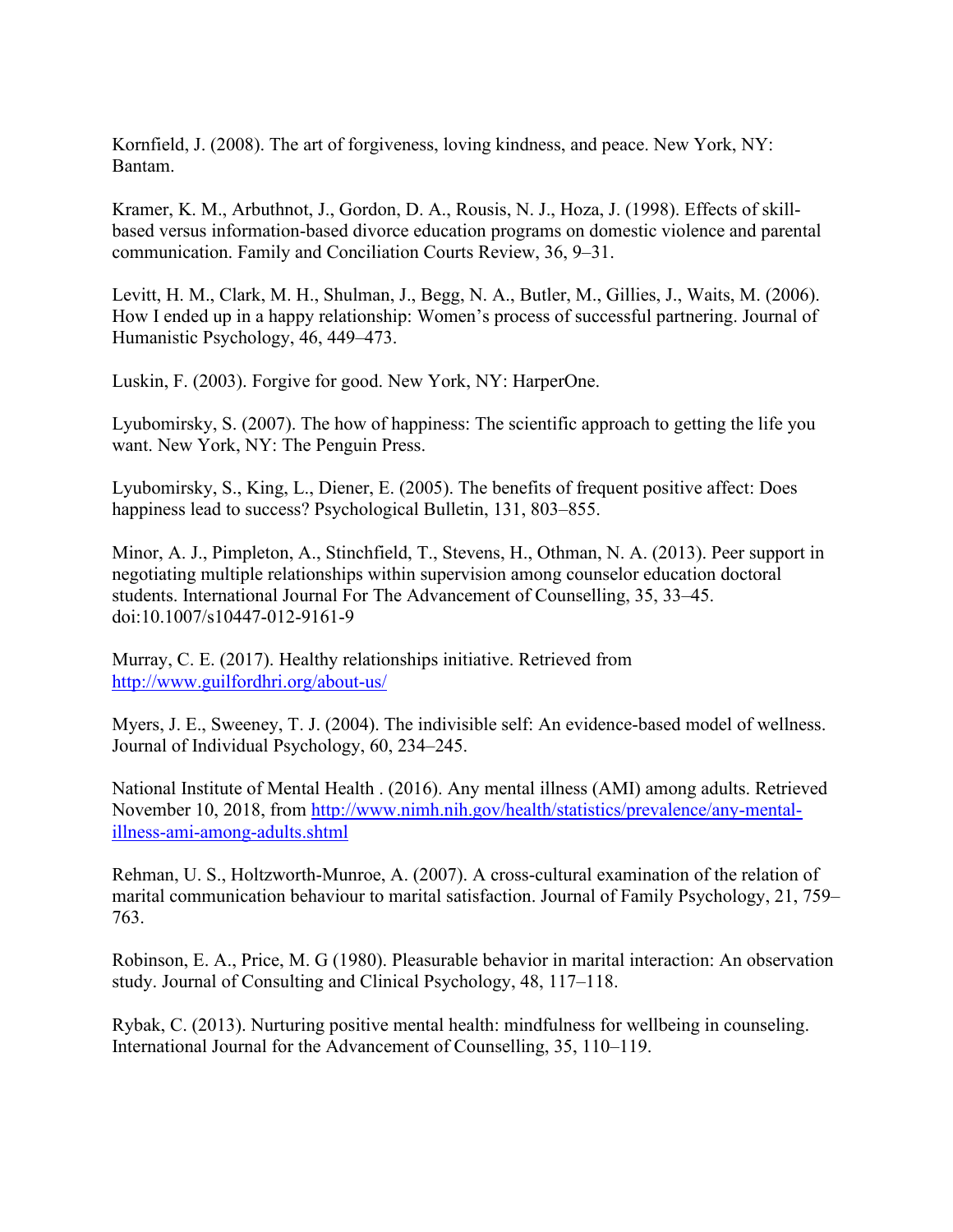Kornfield, J. (2008). The art of forgiveness, loving kindness, and peace. New York, NY: Bantam.

Kramer, K. M., Arbuthnot, J., Gordon, D. A., Rousis, N. J., Hoza, J. (1998). Effects of skillbased versus information-based divorce education programs on domestic violence and parental communication. Family and Conciliation Courts Review, 36, 9–31.

Levitt, H. M., Clark, M. H., Shulman, J., Begg, N. A., Butler, M., Gillies, J., Waits, M. (2006). How I ended up in a happy relationship: Women's process of successful partnering. Journal of Humanistic Psychology, 46, 449–473.

Luskin, F. (2003). Forgive for good. New York, NY: HarperOne.

Lyubomirsky, S. (2007). The how of happiness: The scientific approach to getting the life you want. New York, NY: The Penguin Press.

Lyubomirsky, S., King, L., Diener, E. (2005). The benefits of frequent positive affect: Does happiness lead to success? Psychological Bulletin, 131, 803–855.

Minor, A. J., Pimpleton, A., Stinchfield, T., Stevens, H., Othman, N. A. (2013). Peer support in negotiating multiple relationships within supervision among counselor education doctoral students. International Journal For The Advancement of Counselling, 35, 33–45. doi:10.1007/s10447-012-9161-9

Murray, C. E. (2017). Healthy relationships initiative. Retrieved from <http://www.guilfordhri.org/about-us/>

Myers, J. E., Sweeney, T. J. (2004). The indivisible self: An evidence-based model of wellness. Journal of Individual Psychology, 60, 234–245.

National Institute of Mental Health . (2016). Any mental illness (AMI) among adults. Retrieved November 10, 2018, from [http://www.nimh.nih.gov/health/statistics/prevalence/any-mental](http://www.nimh.nih.gov/health/statistics/prevalence/any-mental-illness-ami-among-adults.shtml)[illness-ami-among-adults.shtml](http://www.nimh.nih.gov/health/statistics/prevalence/any-mental-illness-ami-among-adults.shtml)

Rehman, U. S., Holtzworth-Munroe, A. (2007). A cross-cultural examination of the relation of marital communication behaviour to marital satisfaction. Journal of Family Psychology, 21, 759– 763.

Robinson, E. A., Price, M. G (1980). Pleasurable behavior in marital interaction: An observation study. Journal of Consulting and Clinical Psychology, 48, 117–118.

Rybak, C. (2013). Nurturing positive mental health: mindfulness for wellbeing in counseling. International Journal for the Advancement of Counselling, 35, 110–119.